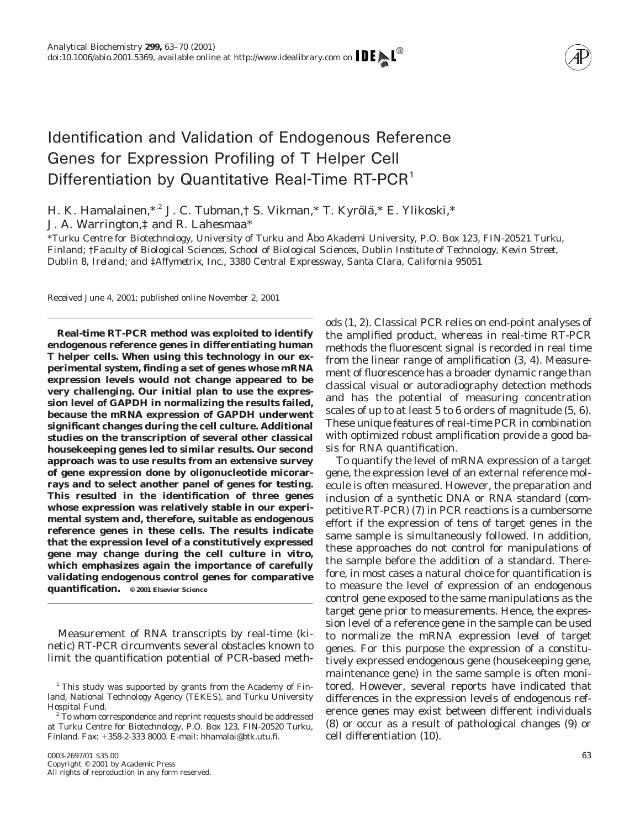

# Identification and Validation of Endogenous Reference Genes for Expression Profiling of T Helper Cell Differentiation by Quantitative Real-Time RT-PCR<sup>1</sup>

H. K. Hamalainen,\*<sup>,2</sup> J. C. Tubman,† S. Vikman,\* T. Kyrölä,\* E. Ylikoski,\* J. A. Warrington,‡ and R. Lahesmaa\*

\**Turku Centre for Biotechnology, University of Turku and Åbo Akademi University, P.O. Box 123, FIN-20521 Turku, Finland;* †*Faculty of Biological Sciences, School of Biological Sciences, Dublin Institute of Technology, Kevin Street, Dublin 8, Ireland; and* ‡*Affymetrix, Inc., 3380 Central Expressway, Santa Clara, California 95051*

Received June 4, 2001; published online November 2, 2001

**Real-time RT-PCR method was exploited to identify endogenous reference genes in differentiating human T helper cells. When using this technology in our experimental system, finding a set of genes whose mRNA expression levels would not change appeared to be very challenging. Our initial plan to use the expression level of GAPDH in normalizing the results failed, because the mRNA expression of GAPDH underwent significant changes during the cell culture. Additional studies on the transcription of several other classical housekeeping genes led to similar results. Our second approach was to use results from an extensive survey of gene expression done by oligonucleotide micorarrays and to select another panel of genes for testing. This resulted in the identification of three genes whose expression was relatively stable in our experimental system and, therefore, suitable as endogenous reference genes in these cells. The results indicate that the expression level of a constitutively expressed gene may change during the cell culture** *in vitro,* **which emphasizes again the importance of carefully validating endogenous control genes for comparative quantification. © 2001 Elsevier Science**

Measurement of RNA transcripts by real-time (kinetic) RT-PCR circumvents several obstacles known to limit the quantification potential of PCR-based meth-

ods (1, 2). Classical PCR relies on end-point analyses of the amplified product, whereas in real-time RT-PCR methods the fluorescent signal is recorded in real time from the linear range of amplification (3, 4). Measurement of fluorescence has a broader dynamic range than classical visual or autoradiography detection methods and has the potential of measuring concentration scales of up to at least 5 to 6 orders of magnitude (5, 6). These unique features of real-time PCR in combination with optimized robust amplification provide a good basis for RNA quantification.

To quantify the level of mRNA expression of a target gene, the expression level of an external reference molecule is often measured. However, the preparation and inclusion of a synthetic DNA or RNA standard (competitive RT-PCR) (7) in PCR reactions is a cumbersome effort if the expression of tens of target genes in the same sample is simultaneously followed. In addition, these approaches do not control for manipulations of the sample before the addition of a standard. Therefore, in most cases a natural choice for quantification is to measure the level of expression of an endogenous control gene exposed to the same manipulations as the target gene prior to measurements. Hence, the expression level of a reference gene in the sample can be used to normalize the mRNA expression level of target genes. For this purpose the expression of a constitutively expressed endogenous gene (housekeeping gene, maintenance gene) in the same sample is often monitored. However, several reports have indicated that differences in the expression levels of endogenous reference genes may exist between different individuals (8) or occur as a result of pathological changes (9) or cell differentiation (10).

 $1$  This study was supported by grants from the Academy of Finland, National Technology Agency (TEKES), and Turku University Hospital Fund.

<sup>&</sup>lt;sup>2</sup> To whom correspondence and reprint requests should be addressed at Turku Centre for Biotechnology, P.O. Box 123, FIN-20520 Turku, Finland. Fax: 1358-2-333 8000. E-mail: hhamalai@btk.utu.fi.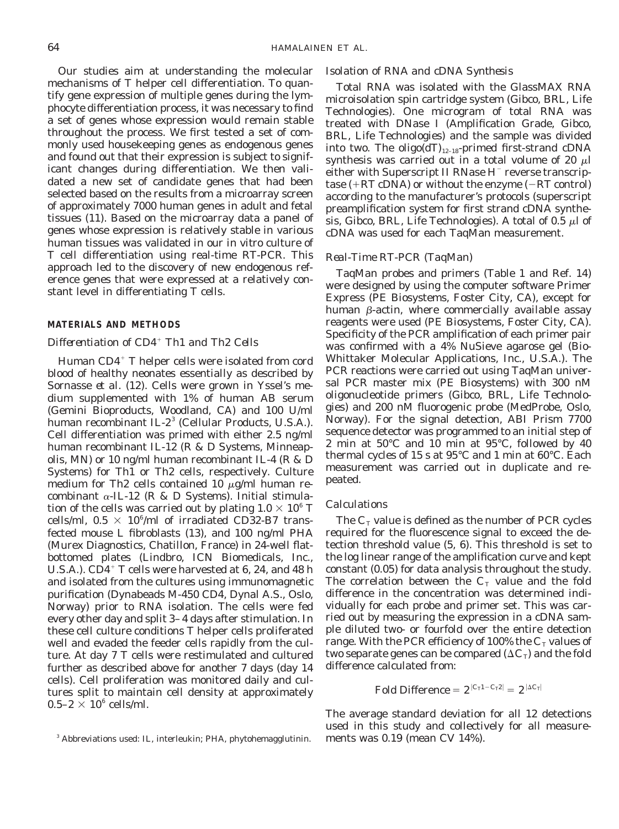Our studies aim at understanding the molecular mechanisms of T helper cell differentiation. To quantify gene expression of multiple genes during the lymphocyte differentiation process, it was necessary to find a set of genes whose expression would remain stable throughout the process. We first tested a set of commonly used housekeeping genes as endogenous genes and found out that their expression is subject to significant changes during differentiation. We then validated a new set of candidate genes that had been selected based on the results from a microarray screen of approximately 7000 human genes in adult and fetal tissues (11). Based on the microarray data a panel of genes whose expression is relatively stable in various human tissues was validated in our *in vitro* culture of T cell differentiation using real-time RT-PCR. This approach led to the discovery of new endogenous reference genes that were expressed at a relatively constant level in differentiating T cells.

## **MATERIALS AND METHODS**

## *Differentiation of CD4*<sup>1</sup> *Th1 and Th2 Cells*

Human  $CD4^+$  T helper cells were isolated from cord blood of healthy neonates essentially as described by Sornasse *et al.* (12). Cells were grown in Yssel's medium supplemented with 1% of human AB serum (Gemini Bioproducts, Woodland, CA) and 100 U/ml human recombinant IL- $2<sup>3</sup>$  (Cellular Products, U.S.A.). Cell differentiation was primed with either 2.5 ng/ml human recombinant IL-12 (R & D Systems, Minneapolis, MN) or 10 ng/ml human recombinant IL-4 (R & D Systems) for Th1 or Th2 cells, respectively. Culture medium for Th2 cells contained 10  $\mu$ g/ml human recombinant  $\alpha$ -IL-12 (R & D Systems). Initial stimulation of the cells was carried out by plating  $1.0 \times 10^6$  T cells/ml,  $0.5 \times 10^6$ /ml of irradiated CD32-B7 transfected mouse L fibroblasts (13), and 100 ng/ml PHA (Murex Diagnostics, Chatillon, France) in 24-well flatbottomed plates (Lindbro, ICN Biomedicals, Inc., U.S.A.).  $CD4^+$  T cells were harvested at 6, 24, and 48 h and isolated from the cultures using immunomagnetic purification (Dynabeads M-450 CD4, Dynal A.S., Oslo, Norway) prior to RNA isolation. The cells were fed every other day and split 3–4 days after stimulation. In these cell culture conditions T helper cells proliferated well and evaded the feeder cells rapidly from the culture. At day 7 T cells were restimulated and cultured further as described above for another 7 days (day 14 cells). Cell proliferation was monitored daily and cultures split to maintain cell density at approximately  $0.5-2 \times 10^6$  cells/ml.

## *Isolation of RNA and cDNA Synthesis*

Total RNA was isolated with the GlassMAX RNA microisolation spin cartridge system (Gibco, BRL, Life Technologies). One microgram of total RNA was treated with DNase I (Amplification Grade, Gibco, BRL, Life Technologies) and the sample was divided into two. The oligo( $dT$ )<sub>12–18</sub>-primed first-strand cDNA synthesis was carried out in a total volume of 20  $\mu$ l either with Superscript II RNase  $H^-$  reverse transcriptase  $(+RT \text{ cDNA})$  or without the enzyme  $(-RT \text{ control})$ according to the manufacturer's protocols (superscript preamplification system for first strand cDNA synthesis, Gibco, BRL, Life Technologies). A total of 0.5  $\mu$ l of cDNA was used for each TaqMan measurement.

## *Real-Time RT-PCR (TaqMan)*

TaqMan probes and primers (Table 1 and Ref. 14) were designed by using the computer software Primer Express (PE Biosystems, Foster City, CA), except for human  $\beta$ -actin, where commercially available assay reagents were used (PE Biosystems, Foster City, CA). Specificity of the PCR amplification of each primer pair was confirmed with a 4% NuSieve agarose gel (Bio-Whittaker Molecular Applications, Inc., U.S.A.). The PCR reactions were carried out using TaqMan universal PCR master mix (PE Biosystems) with 300 nM oligonucleotide primers (Gibco, BRL, Life Technologies) and 200 nM fluorogenic probe (MedProbe, Oslo, Norway). For the signal detection, ABI Prism 7700 sequence detector was programmed to an initial step of 2 min at 50°C and 10 min at 95°C, followed by 40 thermal cycles of 15 s at 95°C and 1 min at 60°C. Each measurement was carried out in duplicate and repeated.

## *Calculations*

The  $C_T$  value is defined as the number of PCR cycles required for the fluorescence signal to exceed the detection threshold value (5, 6). This threshold is set to the log linear range of the amplification curve and kept constant (0.05) for data analysis throughout the study. The correlation between the  $C<sub>T</sub>$  value and the fold difference in the concentration was determined individually for each probe and primer set. This was carried out by measuring the expression in a cDNA sample diluted two- or fourfold over the entire detection range. With the PCR efficiency of 100% the  $C<sub>T</sub>$  values of two separate genes can be compared  $(\Delta C_T)$  and the fold difference calculated from:

 $\text{Fold Difference} = 2^{|C_T 1 - C_T 2|} = 2^{| \Delta C_T |}$ 

The average standard deviation for all 12 detections used in this study and collectively for all measure-

<sup>&</sup>lt;sup>3</sup> Abbreviations used: IL, interleukin; PHA, phytohemagglutinin. ments was  $0.19$  (mean CV  $14\%$ ).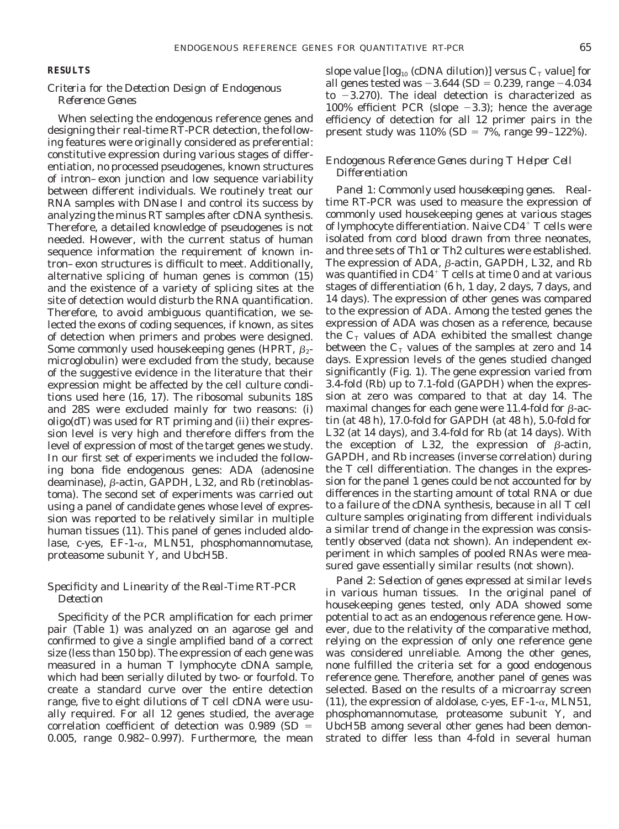## **RESULTS**

# *Criteria for the Detection Design of Endogenous Reference Genes*

When selecting the endogenous reference genes and designing their real-time RT-PCR detection, the following features were originally considered as preferential: constitutive expression during various stages of differentiation, no processed pseudogenes, known structures of intron–exon junction and low sequence variability between different individuals. We routinely treat our RNA samples with DNase I and control its success by analyzing the minus RT samples after cDNA synthesis. Therefore, a detailed knowledge of pseudogenes is not needed. However, with the current status of human sequence information the requirement of known intron–exon structures is difficult to meet. Additionally, alternative splicing of human genes is common (15) and the existence of a variety of splicing sites at the site of detection would disturb the RNA quantification. Therefore, to avoid ambiguous quantification, we selected the exons of coding sequences, if known, as sites of detection when primers and probes were designed. Some commonly used housekeeping genes (HPRT,  $\beta_2$ microglobulin) were excluded from the study, because of the suggestive evidence in the literature that their expression might be affected by the cell culture conditions used here (16, 17). The ribosomal subunits 18S and 28S were excluded mainly for two reasons: (i) oligo(dT) was used for RT priming and (ii) their expression level is very high and therefore differs from the level of expression of most of the target genes we study. In our first set of experiments we included the following *bona fide* endogenous genes: ADA (adenosine deaminase),  $\beta$ -actin, GAPDH, L32, and Rb (retinoblastoma). The second set of experiments was carried out using a panel of candidate genes whose level of expression was reported to be relatively similar in multiple human tissues (11). This panel of genes included aldolase, c-yes, EF-1- $\alpha$ , MLN51, phosphomannomutase, proteasome subunit Y, and UbcH5B.

# *Specificity and Linearity of the Real-Time RT-PCR Detection*

Specificity of the PCR amplification for each primer pair (Table 1) was analyzed on an agarose gel and confirmed to give a single amplified band of a correct size (less than 150 bp). The expression of each gene was measured in a human T lymphocyte cDNA sample, which had been serially diluted by two- or fourfold. To create a standard curve over the entire detection range, five to eight dilutions of T cell cDNA were usually required. For all 12 genes studied, the average correlation coefficient of detection was  $0.989$  (SD  $=$ 0.005, range 0.982–0.997). Furthermore, the mean

slope value  $[\log_{10}$  (cDNA dilution)] versus  $C_T$  value] for all genes tested was  $-3.644$  (SD = 0.239, range  $-4.034$ to  $-3.270$ ). The ideal detection is characterized as 100% efficient PCR (slope  $-3.3$ ); hence the average efficiency of detection for all 12 primer pairs in the present study was  $110\%$  (SD = 7%, range 99–122%).

# *Endogenous Reference Genes during T Helper Cell Differentiation*

*Panel 1: Commonly used housekeeping genes.* Realtime RT-PCR was used to measure the expression of commonly used housekeeping genes at various stages of lymphocyte differentiation. Naive  $CD4^+$  T cells were isolated from cord blood drawn from three neonates, and three sets of Th1 or Th2 cultures were established. The expression of ADA,  $\beta$ -actin, GAPDH, L32, and Rb was quantified in CD4 $^+$  T cells at time 0 and at various stages of differentiation (6 h, 1 day, 2 days, 7 days, and 14 days). The expression of other genes was compared to the expression of ADA. Among the tested genes the expression of ADA was chosen as a reference, because the  $C_T$  values of ADA exhibited the smallest change between the  $C_{\text{\tiny T}}$  values of the samples at zero and 14 days. Expression levels of the genes studied changed significantly (Fig. 1). The gene expression varied from 3.4-fold (Rb) up to 7.1-fold (GAPDH) when the expression at zero was compared to that at day 14. The maximal changes for each gene were 11.4-fold for  $\beta$ -actin (at 48 h), 17.0-fold for GAPDH (at 48 h), 5.0-fold for L32 (at 14 days), and 3.4-fold for Rb (at 14 days). With the exception of L32, the expression of  $\beta$ -actin, GAPDH, and Rb increases (inverse correlation) during the T cell differentiation. The changes in the expression for the panel 1 genes could be not accounted for by differences in the starting amount of total RNA or due to a failure of the cDNA synthesis, because in all T cell culture samples originating from different individuals a similar trend of change in the expression was consistently observed (data not shown). An independent experiment in which samples of pooled RNAs were measured gave essentially similar results (not shown).

*Panel 2: Selection of genes expressed at similar levels in various human tissues.* In the original panel of housekeeping genes tested, only ADA showed some potential to act as an endogenous reference gene. However, due to the relativity of the comparative method, relying on the expression of only one reference gene was considered unreliable. Among the other genes, none fulfilled the criteria set for a good endogenous reference gene. Therefore, another panel of genes was selected. Based on the results of a microarray screen (11), the expression of aldolase, c-yes,  $EF-1-\alpha$ , MLN51, phosphomannomutase, proteasome subunit Y, and UbcH5B among several other genes had been demonstrated to differ less than 4-fold in several human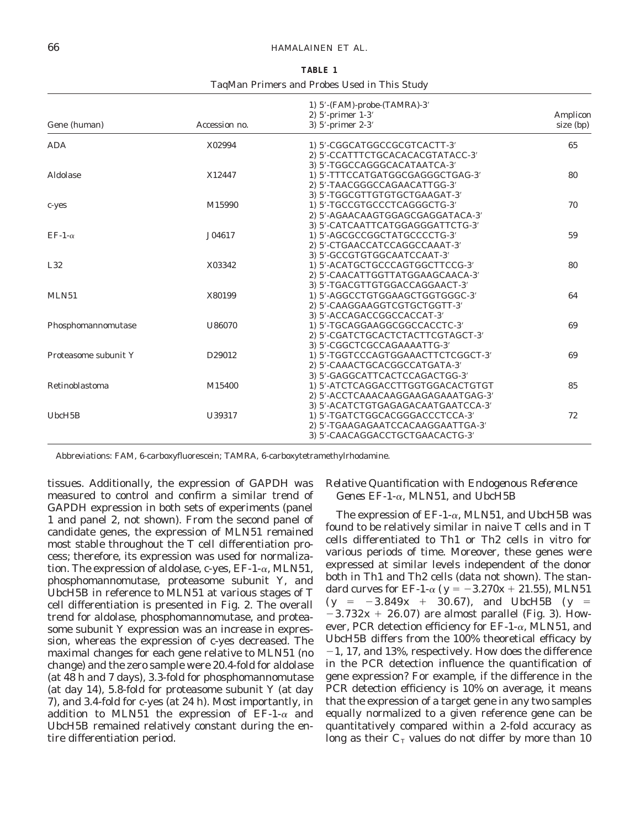#### 66 HAMALAINEN ET AL.

| <b>TABLE 1</b>                               |  |  |  |  |  |
|----------------------------------------------|--|--|--|--|--|
| TaqMan Primers and Probes Used in This Study |  |  |  |  |  |

| Gene (human)         | Accession no. | 1) 5'-(FAM)-probe-(TAMRA)-3'<br>2) 5'-primer 1-3'<br>3) $5'$ -primer $2-3'$                                                                   | Amplicon<br>size (bp) |
|----------------------|---------------|-----------------------------------------------------------------------------------------------------------------------------------------------|-----------------------|
| <b>ADA</b>           | X02994        | 1) 5'-CGGCATGGCCGCGTCACTT-3'<br>2) 5'-CCATTTCTGCACACACGTATACC-3'                                                                              | 65                    |
| Aldolase             | X12447        | 3) 5'-TGGCCAGGGCACATAATCA-3'<br>1) 5'-TTTCCATGATGGCGAGGGCTGAG-3'<br>2) 5'-TAACGGGCCAGAACATTGG-3'                                              | 80                    |
| c-yes                | M15990        | 3) 5'-TGGCGTTGTGTGCTGAAGAT-3'<br>1) 5'-TGCCGTGCCCTCAGGGCTG-3'<br>2) 5'-AGAACAAGTGGAGCGAGGATACA-3'                                             | 70                    |
| EF-1- $\alpha$       | J04617        | 3) 5'-CATCAATTCATGGAGGGATTCTG-3'<br>1) 5'-AGCGCCGGCTATGCCCCTG-3'<br>2) 5'-CTGAACCATCCAGGCCAAAT-3'                                             | 59                    |
| L32                  | X03342        | 3) 5'-GCCGTGTGGCAATCCAAT-3'<br>1) 5'-ACATGCTGCCCAGTGGCTTCCG-3'<br>2) 5'-CAACATTGGTTATGGAAGCAACA-3'                                            | 80                    |
| MLN51                | X80199        | 3) 5'-TGACGTTGTGGACCAGGAACT-3'<br>1) 5'-AGGCCTGTGGAAGCTGGTGGGC-3'<br>2) 5'-CAAGGAAGGTCGTGCTGGTT-3'                                            | 64                    |
| Phosphomannomutase   | U86070        | 3) 5'-ACCAGACCGGCCACCAT-3'<br>1) 5'-TGCAGGAAGGCGGCCACCTC-3'<br>2) 5'-CGATCTGCACTCTACTTCGTAGCT-3'                                              | 69                    |
| Proteasome subunit Y | D29012        | 3) 5'-CGGCTCGCCAGAAAATTG-3'<br>1) 5'-TGGTCCCAGTGGAAACTTCTCGGCT-3'<br>2) 5'-CAAACTGCACGGCCATGATA-3'                                            | 69                    |
| Retinoblastoma       | M15400        | 3) 5'-GAGGCATTCACTCCAGACTGG-3'<br>1) 5'-ATCTCAGGACCTTGGTGGACACTGTGT<br>2) 5'-ACCTCAAACAAGGAAGAGAAATGAG-3'                                     | 85                    |
| UbcH5B               | U39317        | 3) 5'-ACATCTGTGAGAGACAATGAATCCA-3'<br>1) 5'-TGATCTGGCACGGGACCCTCCA-3'<br>2) 5'-TGAAGAGAATCCACAAGGAATTGA-3'<br>3) 5'-CAACAGGACCTGCTGAACACTG-3' | 72                    |

*Abbreviations:* FAM, 6-carboxyfluorescein; TAMRA, 6-carboxytetramethylrhodamine.

tissues. Additionally, the expression of GAPDH was measured to control and confirm a similar trend of GAPDH expression in both sets of experiments (panel 1 and panel 2, not shown). From the second panel of candidate genes, the expression of MLN51 remained most stable throughout the T cell differentiation process; therefore, its expression was used for normalization. The expression of aldolase, c-yes,  $EF-1-\alpha$ , MLN51, phosphomannomutase, proteasome subunit Y, and UbcH5B in reference to MLN51 at various stages of T cell differentiation is presented in Fig. 2. The overall trend for aldolase, phosphomannomutase, and proteasome subunit Y expression was an increase in expression, whereas the expression of c-yes decreased. The maximal changes for each gene relative to MLN51 (no change) and the zero sample were 20.4-fold for aldolase (at 48 h and 7 days), 3.3-fold for phosphomannomutase (at day 14), 5.8-fold for proteasome subunit Y (at day 7), and 3.4-fold for c-yes (at 24 h). Most importantly, in addition to MLN51 the expression of  $EF-1-\alpha$  and UbcH5B remained relatively constant during the entire differentiation period.

# *Relative Quantification with Endogenous Reference Genes EF-1-*a*, MLN51, and UbcH5B*

The expression of  $EF-1-\alpha$ , MLN51, and UbcH5B was found to be relatively similar in naive T cells and in T cells differentiated to Th1 or Th2 cells *in vitro* for various periods of time. Moreover, these genes were expressed at similar levels independent of the donor both in Th1 and Th2 cells (data not shown). The standard curves for EF-1- $\alpha$  ( $y = -3.270x + 21.55$ ), MLN51  $(y = -3.849x + 30.67)$ , and UbcH5B ( $y =$  $-3.732x + 26.07$  are almost parallel (Fig. 3). However, PCR detection efficiency for  $EF-1-\alpha$ , MLN51, and UbcH5B differs from the 100% theoretical efficacy by  $-1$ , 17, and 13%, respectively. How does the difference in the PCR detection influence the quantification of gene expression? For example, if the difference in the PCR detection efficiency is 10% on average, it means that the expression of a target gene in any two samples equally normalized to a given reference gene can be quantitatively compared within a 2-fold accuracy as long as their  $C_T$  values do not differ by more than 10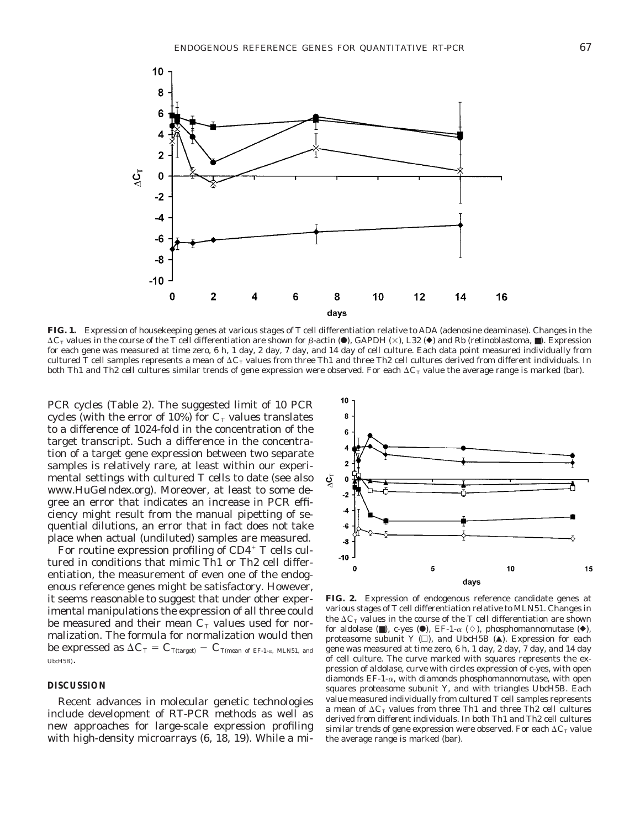

**FIG. 1.** Expression of housekeeping genes at various stages of T cell differentiation relative to ADA (adenosine deaminase). Changes in the  $\Delta C_{\rm T}$  values in the course of the T cell differentiation are shown for  $\beta$ -actin ( $\bullet$ ), GAPDH ( $\times$ ), L32 ( $\bullet$ ) and Rb (retinoblastoma,  $\blacksquare$ ). Expression for each gene was measured at time zero, 6 h, 1 day, 2 day, 7 day, and 14 day of cell culture. Each data point measured individually from cultured T cell samples represents a mean of  $\Delta C_T$  values from three Th1 and three Th2 cell cultures derived from different individuals. In both Th1 and Th2 cell cultures similar trends of gene expression were observed. For each  $\Delta C_{\rm T}$  value the average range is marked (bar).

PCR cycles (Table 2). The suggested limit of 10 PCR cycles (with the error of 10%) for  $C<sub>T</sub>$  values translates to a difference of 1024-fold in the concentration of the target transcript. Such a difference in the concentration of a target gene expression between two separate samples is relatively rare, at least within our experimental settings with cultured T cells to date (see also www.HuGeIndex.org). Moreover, at least to some degree an error that indicates an increase in PCR efficiency might result from the manual pipetting of sequential dilutions, an error that in fact does not take place when actual (undiluted) samples are measured.

For routine expression profiling of  $CD4^+$  T cells cultured in conditions that mimic Th1 or Th2 cell differentiation, the measurement of even one of the endogenous reference genes might be satisfactory. However, it seems reasonable to suggest that under other experimental manipulations the expression of all three could be measured and their mean  $C_T$  values used for normalization. The formula for normalization would then be expressed as  $\Delta C_{\text{T}} = C_{\text{T(target)}} - C_{\text{T(mean of EF-1-α, MLN51, and}}$ UbcH5B).

## **DISCUSSION**

Recent advances in molecular genetic technologies include development of RT-PCR methods as well as new approaches for large-scale expression profiling with high-density microarrays (6, 18, 19). While a mi-



**FIG. 2.** Expression of endogenous reference candidate genes at various stages of T cell differentiation relative to MLN51. Changes in the  $\Delta C_T$  values in the course of the T cell differentiation are shown for aldolase ( $\blacksquare$ ), c-yes ( $\blacksquare$ ), EF-1- $\alpha$  ( $\diamond$ ), phosphomannomutase ( $\blacklozenge$ ), proteasome subunit Y  $(\square)$ , and UbcH5B ( $\triangle$ ). Expression for each gene was measured at time zero, 6 h, 1 day, 2 day, 7 day, and 14 day of cell culture. The curve marked with squares represents the expression of aldolase, curve with circles expression of c-yes, with open diamonds  $EF-1-\alpha$ , with diamonds phosphomannomutase, with open squares proteasome subunit Y, and with triangles UbcH5B. Each value measured individually from cultured T cell samples represents a mean of  $\Delta C_T$  values from three Th1 and three Th2 cell cultures derived from different individuals. In both Th1 and Th2 cell cultures similar trends of gene expression were observed. For each  $\Delta C_{\text{T}}$  value the average range is marked (bar).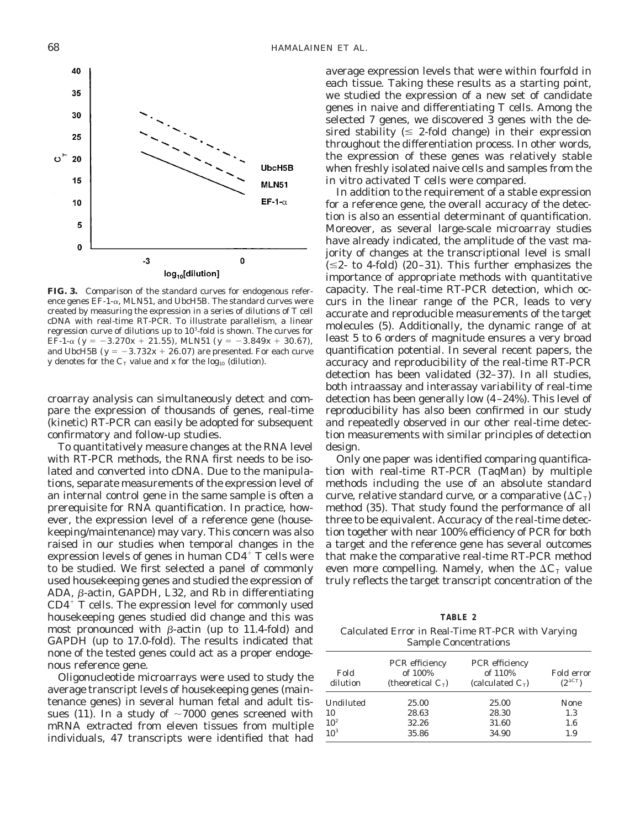

**FIG. 3.** Comparison of the standard curves for endogenous reference genes  $EF-1-\alpha$ , MLN51, and UbcH5B. The standard curves were created by measuring the expression in a series of dilutions of T cell cDNA with real-time RT-PCR. To illustrate parallelism, a linear regression curve of dilutions up to  $10<sup>3</sup>$ -fold is shown. The curves for EF-1- $\alpha$  ( $y = -3.270x + 21.55$ ), MLN51 ( $y = -3.849x + 30.67$ ), and UbcH5B ( $y = -3.732x + 26.07$ ) are presented. For each curve y denotes for the  $C_T$  value and *x* for the log<sub>10</sub> (dilution).

croarray analysis can simultaneously detect and compare the expression of thousands of genes, real-time (kinetic) RT-PCR can easily be adopted for subsequent confirmatory and follow-up studies.

To quantitatively measure changes at the RNA level with RT-PCR methods, the RNA first needs to be isolated and converted into cDNA. Due to the manipulations, separate measurements of the expression level of an internal control gene in the same sample is often a prerequisite for RNA quantification. In practice, however, the expression level of a reference gene (housekeeping/maintenance) may vary. This concern was also raised in our studies when temporal changes in the expression levels of genes in human  $CD4^+$  T cells were to be studied. We first selected a panel of commonly used housekeeping genes and studied the expression of ADA,  $\beta$ -actin, GAPDH, L32, and Rb in differentiating  $CD4^{\dagger}$  T cells. The expression level for commonly used housekeeping genes studied did change and this was most pronounced with  $\beta$ -actin (up to 11.4-fold) and GAPDH (up to 17.0-fold). The results indicated that none of the tested genes could act as a proper endogenous reference gene.

Oligonucleotide microarrays were used to study the average transcript levels of housekeeping genes (maintenance genes) in several human fetal and adult tissues (11). In a study of  $\sim$ 7000 genes screened with mRNA extracted from eleven tissues from multiple individuals, 47 transcripts were identified that had

average expression levels that were within fourfold in each tissue. Taking these results as a starting point, we studied the expression of a new set of candidate genes in naive and differentiating T cells. Among the selected 7 genes, we discovered 3 genes with the desired stability ( $\leq$  2-fold change) in their expression throughout the differentiation process. In other words, the expression of these genes was relatively stable when freshly isolated naive cells and samples from the *in vitro* activated T cells were compared.

In addition to the requirement of a stable expression for a reference gene, the overall accuracy of the detection is also an essential determinant of quantification. Moreover, as several large-scale microarray studies have already indicated, the amplitude of the vast majority of changes at the transcriptional level is small  $(\leq 2$ - to 4-fold) (20–31). This further emphasizes the importance of appropriate methods with quantitative capacity. The real-time RT-PCR detection, which occurs in the linear range of the PCR, leads to very accurate and reproducible measurements of the target molecules (5). Additionally, the dynamic range of at least 5 to 6 orders of magnitude ensures a very broad quantification potential. In several recent papers, the accuracy and reproducibility of the real-time RT-PCR detection has been validated (32–37). In all studies, both intraassay and interassay variability of real-time detection has been generally low (4–24%). This level of reproducibility has also been confirmed in our study and repeatedly observed in our other real-time detection measurements with similar principles of detection design.

Only one paper was identified comparing quantification with real-time RT-PCR (TaqMan) by multiple methods including the use of an absolute standard curve, relative standard curve, or a comparative  $(\Delta C_T)$ method (35). That study found the performance of all three to be equivalent. Accuracy of the real-time detection together with near 100% efficiency of PCR for both a target and the reference gene has several outcomes that make the comparative real-time RT-PCR method even more compelling. Namely, when the  $\Delta C_{\text{T}}$  value truly reflects the target transcript concentration of the

|--|--|

Calculated Error in Real-Time RT-PCR with Varying Sample Concentrations

| Fold<br>dilution | PCR efficiency<br>of 100%<br>(theoretical $C_{\rm T}$ ) | PCR efficiency<br>of 110%<br>(calculated $C_{\rm T}$ ) | Fold error<br>$(2^{\Delta C}T)$ |
|------------------|---------------------------------------------------------|--------------------------------------------------------|---------------------------------|
| Undiluted        | 25.00                                                   | 25.00                                                  | <b>None</b>                     |
| 10               | 28.63                                                   | 28.30                                                  | 1.3                             |
| 10 <sup>2</sup>  | 32.26                                                   | 31.60                                                  | $1.6\,$                         |
| 10 <sup>3</sup>  | 35.86                                                   | 34.90                                                  | 1.9                             |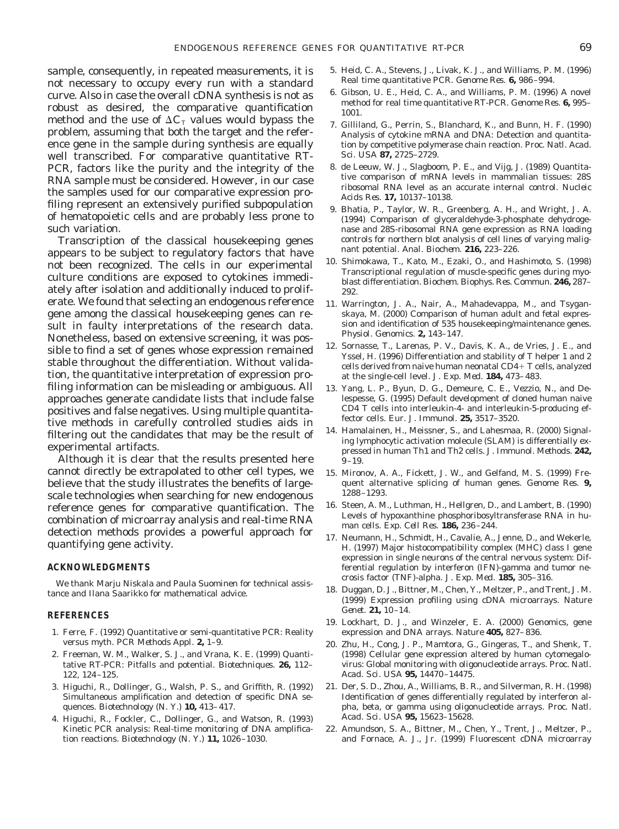sample, consequently, in repeated measurements, it is not necessary to occupy every run with a standard curve. Also in case the overall cDNA synthesis is not as robust as desired, the comparative quantification method and the use of  $\Delta C$ <sub>T</sub> values would bypass the problem, assuming that both the target and the reference gene in the sample during synthesis are equally well transcribed. For comparative quantitative RT-PCR, factors like the purity and the integrity of the RNA sample must be considered. However, in our case the samples used for our comparative expression profiling represent an extensively purified subpopulation of hematopoietic cells and are probably less prone to such variation.

Transcription of the classical housekeeping genes appears to be subject to regulatory factors that have not been recognized. The cells in our experimental culture conditions are exposed to cytokines immediately after isolation and additionally induced to proliferate. We found that selecting an endogenous reference gene among the classical housekeeping genes can result in faulty interpretations of the research data. Nonetheless, based on extensive screening, it was possible to find a set of genes whose expression remained stable throughout the differentiation. Without validation, the quantitative interpretation of expression profiling information can be misleading or ambiguous. All approaches generate candidate lists that include false positives and false negatives. Using multiple quantitative methods in carefully controlled studies aids in filtering out the candidates that may be the result of experimental artifacts.

Although it is clear that the results presented here cannot directly be extrapolated to other cell types, we believe that the study illustrates the benefits of largescale technologies when searching for new endogenous reference genes for comparative quantification. The combination of microarray analysis and real-time RNA detection methods provides a powerful approach for quantifying gene activity.

#### **ACKNOWLEDGMENTS**

We thank Marju Niskala and Paula Suominen for technical assistance and Ilana Saarikko for mathematical advice.

#### **REFERENCES**

- 1. Ferre, F. (1992) Quantitative or semi-quantitative PCR: Reality versus myth. *PCR Methods Appl.* **2,** 1–9.
- 2. Freeman, W. M., Walker, S. J., and Vrana, K. E. (1999) Quantitative RT-PCR: Pitfalls and potential. *Biotechniques.* **26,** 112– 122, 124–125.
- 3. Higuchi, R., Dollinger, G., Walsh, P. S., and Griffith, R. (1992) Simultaneous amplification and detection of specific DNA sequences. *Biotechnology (N. Y.)* **10,** 413–417.
- 4. Higuchi, R., Fockler, C., Dollinger, G., and Watson, R. (1993) Kinetic PCR analysis: Real-time monitoring of DNA amplification reactions. *Biotechnology (N. Y.)* **11,** 1026–1030.
- 5. Heid, C. A., Stevens, J., Livak, K. J., and Williams, P. M. (1996) Real time quantitative PCR. *Genome Res.* **6,** 986–994.
- 6. Gibson, U. E., Heid, C. A., and Williams, P. M. (1996) A novel method for real time quantitative RT-PCR. *Genome Res.* **6,** 995– 1001.
- 7. Gilliland, G., Perrin, S., Blanchard, K., and Bunn, H. F. (1990) Analysis of cytokine mRNA and DNA: Detection and quantitation by competitive polymerase chain reaction. *Proc. Natl. Acad. Sci. USA* **87,** 2725–2729.
- 8. de Leeuw, W. J., Slagboom, P. E., and Vijg, J. (1989) Quantitative comparison of mRNA levels in mammalian tissues: 28S ribosomal RNA level as an accurate internal control. *Nucleic Acids Res.* **17,** 10137–10138.
- 9. Bhatia, P., Taylor, W. R., Greenberg, A. H., and Wright, J. A. (1994) Comparison of glyceraldehyde-3-phosphate dehydrogenase and 28S-ribosomal RNA gene expression as RNA loading controls for northern blot analysis of cell lines of varying malignant potential. *Anal. Biochem.* **216,** 223–226.
- 10. Shimokawa, T., Kato, M., Ezaki, O., and Hashimoto, S. (1998) Transcriptional regulation of muscle-specific genes during myoblast differentiation. *Biochem. Biophys. Res. Commun.* **246,** 287– 292.
- 11. Warrington, J. A., Nair, A., Mahadevappa, M., and Tsyganskaya, M. (2000) Comparison of human adult and fetal expression and identification of 535 housekeeping/maintenance genes. *Physiol. Genomics.* **2,** 143–147.
- 12. Sornasse, T., Larenas, P. V., Davis, K. A., de Vries, J. E., and Yssel, H. (1996) Differentiation and stability of T helper 1 and 2 cells derived from naive human neonatal  $CD4+T$  cells, analyzed at the single-cell level. *J. Exp. Med.* **184,** 473–483.
- 13. Yang, L. P., Byun, D. G., Demeure, C. E., Vezzio, N., and Delespesse, G. (1995) Default development of cloned human naive CD4 T cells into interleukin-4- and interleukin-5-producing effector cells. *Eur. J. Immunol.* **25,** 3517–3520.
- 14. Hamalainen, H., Meissner, S., and Lahesmaa, R. (2000) Signaling lymphocytic activation molecule (SLAM) is differentially expressed in human Th1 and Th2 cells. *J. Immunol. Methods.* **242,**  $9 - 19.$
- 15. Mironov, A. A., Fickett, J. W., and Gelfand, M. S. (1999) Frequent alternative splicing of human genes. *Genome Res.* **9,** 1288–1293.
- 16. Steen, A. M., Luthman, H., Hellgren, D., and Lambert, B. (1990) Levels of hypoxanthine phosphoribosyltransferase RNA in human cells. *Exp. Cell Res.* **186,** 236–244.
- 17. Neumann, H., Schmidt, H., Cavalie, A., Jenne, D., and Wekerle, H. (1997) Major histocompatibility complex (MHC) class I gene expression in single neurons of the central nervous system: Differential regulation by interferon (IFN)-gamma and tumor necrosis factor (TNF)-alpha. *J. Exp. Med.* **185,** 305–316.
- 18. Duggan, D. J., Bittner, M., Chen, Y., Meltzer, P., and Trent, J. M. (1999) Expression profiling using cDNA microarrays. *Nature Genet.* **21,** 10–14.
- 19. Lockhart, D. J., and Winzeler, E. A. (2000) Genomics, gene expression and DNA arrays. *Nature* **405,** 827–836.
- 20. Zhu, H., Cong, J. P., Mamtora, G., Gingeras, T., and Shenk, T. (1998) Cellular gene expression altered by human cytomegalovirus: Global monitoring with oligonucleotide arrays. *Proc. Natl. Acad. Sci. USA* **95,** 14470–14475.
- 21. Der, S. D., Zhou, A., Williams, B. R., and Silverman, R. H. (1998) Identification of genes differentially regulated by interferon alpha, beta, or gamma using oligonucleotide arrays. *Proc. Natl. Acad. Sci. USA* **95,** 15623–15628.
- 22. Amundson, S. A., Bittner, M., Chen, Y., Trent, J., Meltzer, P., and Fornace, A. J., Jr. (1999) Fluorescent cDNA microarray